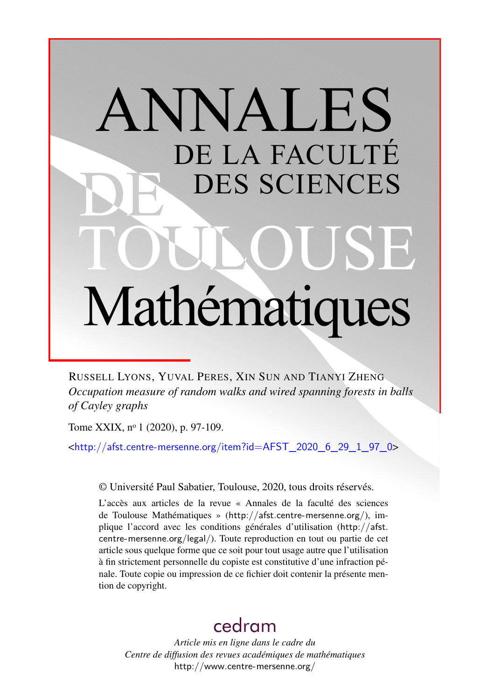# ANNALES DE LA FACULTÉ DES SCIENCES Mathématiques

RUSSELL LYONS, YUVAL PERES, XIN SUN AND TIANYI ZHENG *Occupation measure of random walks and wired spanning forests in balls of Cayley graphs*

Tome XXIX, nº 1 (2020), p. 97-109.

<[http://afst.centre-mersenne.org/item?id=AFST\\_2020\\_6\\_29\\_1\\_97\\_0](http://afst.centre-mersenne.org/item?id=AFST_2020_6_29_1_97_0)>

© Université Paul Sabatier, Toulouse, 2020, tous droits réservés.

L'accès aux articles de la revue « Annales de la faculté des sciences de Toulouse Mathématiques » (<http://afst.centre-mersenne.org/>), implique l'accord avec les conditions générales d'utilisation ([http://afst.](http://afst.centre-mersenne.org/legal/) [centre-mersenne.org/legal/](http://afst.centre-mersenne.org/legal/)). Toute reproduction en tout ou partie de cet article sous quelque forme que ce soit pour tout usage autre que l'utilisation à fin strictement personnelle du copiste est constitutive d'une infraction pénale. Toute copie ou impression de ce fichier doit contenir la présente mention de copyright.

## [cedram](http://www.centre-mersenne.org/)

*Article mis en ligne dans le cadre du Centre de diffusion des revues académiques de mathématiques* <http://www.centre-mersenne.org/>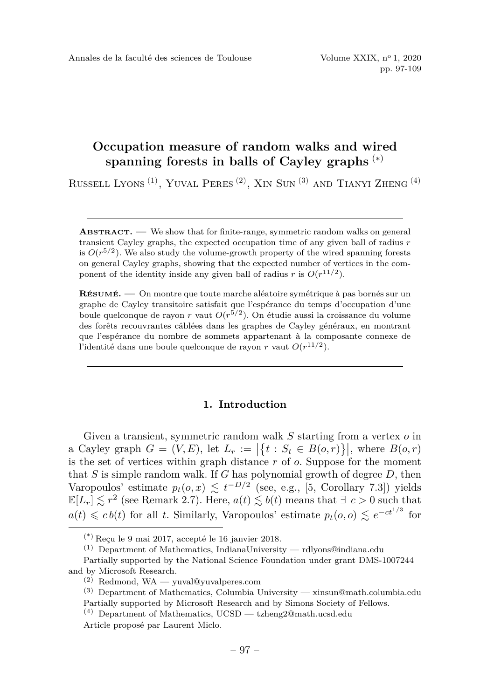pp. 97-109

### **Occupation measure of random walks and wired spanning forests in balls of Cayley graphs** (∗)

RUSSELL LYONS<sup>(1)</sup>, YUVAL PERES<sup>(2)</sup>, XIN SUN<sup>(3)</sup> AND TIANYI ZHENG<sup>(4)</sup>

**ABSTRACT. —** We show that for finite-range, symmetric random walks on general transient Cayley graphs, the expected occupation time of any given ball of radius *r* is  $O(r^{5/2})$ . We also study the volume-growth property of the wired spanning forests on general Cayley graphs, showing that the expected number of vertices in the component of the identity inside any given ball of radius *r* is  $O(r^{11/2})$ .

**RÉSUMÉ. —** On montre que toute marche aléatoire symétrique à pas bornés sur un graphe de Cayley transitoire satisfait que l'espérance du temps d'occupation d'une boule quelconque de rayon *r* vaut *O*(*r* 5*/*2 ). On étudie aussi la croissance du volume des forêts recouvrantes câblées dans les graphes de Cayley généraux, en montrant que l'espérance du nombre de sommets appartenant à la composante connexe de l'identité dans une boule quelconque de rayon  $r$  vaut  $O(r^{11/2})$ .

#### **1. Introduction**

Given a transient, symmetric random walk *S* starting from a vertex *o* in a Cayley graph  $G = (V, E)$ , let  $L_r := |\{t : S_t \in B(o, r)\}|$ , where  $B(o, r)$ is the set of vertices within graph distance *r* of *o*. Suppose for the moment that *S* is simple random walk. If *G* has polynomial growth of degree *D*, then Varopoulos' estimate  $p_t(o, x) \leq t^{-D/2}$  (see, e.g., [\[5,](#page-13-0) Corollary 7.3]) yields  $\mathbb{E}[L_r] \lesssim r^2$  (see Remark [2.7\)](#page-8-0). Here,  $a(t) \lesssim b(t)$  means that  $\exists c > 0$  such that  $a(t) \leq c b(t)$  for all *t*. Similarly, Varopoulos' estimate  $p_t(o, o) \leq e^{-ct^{1/3}}$  for

 $(*)$  Recu le 9 mai 2017, accepté le 16 janvier 2018.

 $(1)$  Department of Mathematics, IndianaUniversity — [rdlyons@indiana.edu](mailto:rdlyons@indiana.edu)

Partially supported by the National Science Foundation under grant DMS-1007244 and by Microsoft Research.

 $(2)$  Redmond, WA — [yuval@yuvalperes.com](mailto:yuval@yuvalperes.com)

<sup>(3)</sup> Department of Mathematics, Columbia University — [xinsun@math.columbia.edu](mailto:xinsun@math.columbia.edu) Partially supported by Microsoft Research and by Simons Society of Fellows.

<sup>(4)</sup> Department of Mathematics, UCSD — [tzheng2@math.ucsd.edu](mailto:tzheng2@math.ucsd.edu) Article proposé par Laurent Miclo.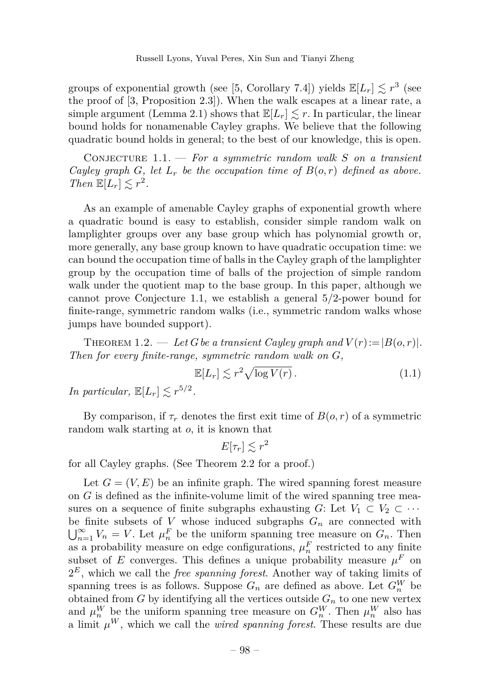groups of exponential growth (see [\[5,](#page-13-0) Corollary 7.4]) yields  $\mathbb{E}[L_r] \lesssim r^3$  (see the proof of [\[3,](#page-12-0) Proposition 2.3]). When the walk escapes at a linear rate, a simple argument (Lemma [2.1\)](#page-4-0) shows that  $\mathbb{E}[L_r] \lesssim r$ . In particular, the linear bound holds for nonamenable Cayley graphs. We believe that the following quadratic bound holds in general; to the best of our knowledge, this is open.

<span id="page-2-0"></span>Conjecture 1.1. — *For a symmetric random walk S on a transient Cayley graph G, let*  $L_r$  *be the occupation time of*  $B(o, r)$  *defined as above. Then*  $\mathbb{E}[L_r] \lesssim r^2$ .

As an example of amenable Cayley graphs of exponential growth where a quadratic bound is easy to establish, consider simple random walk on lamplighter groups over any base group which has polynomial growth or, more generally, any base group known to have quadratic occupation time: we can bound the occupation time of balls in the Cayley graph of the lamplighter group by the occupation time of balls of the projection of simple random walk under the quotient map to the base group. In this paper, although we cannot prove Conjecture [1.1,](#page-2-0) we establish a general 5*/*2-power bound for finite-range, symmetric random walks (i.e., symmetric random walks whose jumps have bounded support).

<span id="page-2-1"></span>THEOREM 1.2. — Let G be a transient Cayley graph and  $V(r) := |B(o, r)|$ . *Then for every finite-range, symmetric random walk on G,*

$$
\mathbb{E}[L_r] \lesssim r^2 \sqrt{\log V(r)}\,. \tag{1.1}
$$

*In particular,*  $\mathbb{E}[L_r] \lesssim r^{5/2}$ .

By comparison, if  $\tau_r$  denotes the first exit time of  $B(o, r)$  of a symmetric random walk starting at *o*, it is known that

$$
E[\tau_r] \lesssim r^2
$$

for all Cayley graphs. (See Theorem [2.2](#page-5-0) for a proof.)

Let  $G = (V, E)$  be an infinite graph. The wired spanning forest measure on *G* is defined as the infinite-volume limit of the wired spanning tree measures on a sequence of finite subgraphs exhausting *G*: Let  $V_1 \subset V_2 \subset \cdots$ be finite subsets of  $V$  whose induced subgraphs  $G_n$  are connected with  $\bigcup_{n=1}^{\infty} V_n = V$ . Let  $\mu_n^F$  be the uniform spanning tree measure on  $G_n$ . Then as a probability measure on edge configurations,  $\mu_n^F$  restricted to any finite subset of *E* converges. This defines a unique probability measure  $\mu^F$  on  $2<sup>E</sup>$ , which we call the *free spanning forest*. Another way of taking limits of spanning trees is as follows. Suppose  $G_n$  are defined as above. Let  $G_n^W$  be obtained from  $G$  by identifying all the vertices outside  $G_n$  to one new vertex and  $\mu_n^W$  be the uniform spanning tree measure on  $G_n^W$ . Then  $\mu_n^W$  also has a limit  $\mu^W$ , which we call the *wired spanning forest*. These results are due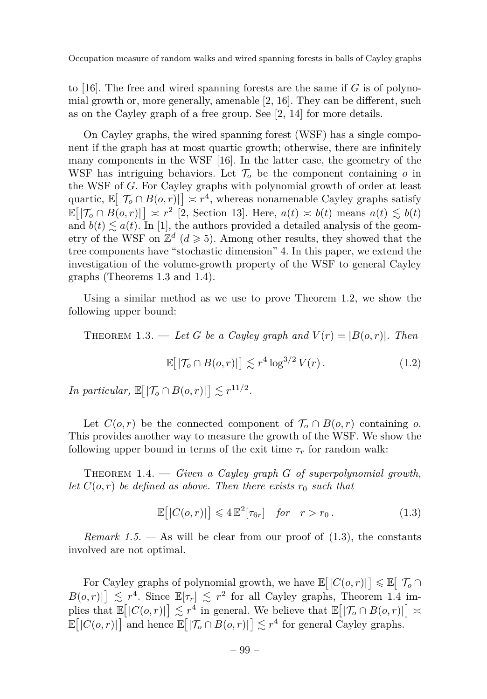to [\[16\]](#page-13-1). The free and wired spanning forests are the same if *G* is of polynomial growth or, more generally, amenable [\[2,](#page-12-1) [16\]](#page-13-1). They can be different, such as on the Cayley graph of a free group. See [\[2,](#page-12-1) [14\]](#page-13-2) for more details.

On Cayley graphs, the wired spanning forest (WSF) has a single component if the graph has at most quartic growth; otherwise, there are infinitely many components in the WSF [\[16\]](#page-13-1). In the latter case, the geometry of the WSF has intriguing behaviors. Let  $\mathcal{T}_{o}$  be the component containing  $o$  in the WSF of *G*. For Cayley graphs with polynomial growth of order at least quartic,  $\mathbb{E}[|\mathcal{T}_o \cap B(o,r)|] \asymp r^4$ , whereas nonamenable Cayley graphs satisfy  $\mathbb{E}[\mathcal{T}_o \cap B(o,r)] \geq r^2$  [\[2,](#page-12-1) Section 13]. Here,  $a(t) \approx b(t)$  means  $a(t) \leq b(t)$ and  $b(t) \leq a(t)$ . In [\[1\]](#page-12-2), the authors provided a detailed analysis of the geometry of the WSF on  $\mathbb{Z}^d$  ( $d \geqslant 5$ ). Among other results, they showed that the tree components have "stochastic dimension" 4. In this paper, we extend the investigation of the volume-growth property of the WSF to general Cayley graphs (Theorems [1.3](#page-3-0) and [1.4\)](#page-3-1).

Using a similar method as we use to prove Theorem [1.2,](#page-2-1) we show the following upper bound:

<span id="page-3-0"></span>THEOREM 1.3. — Let G be a Cayley graph and  $V(r) = |B(o, r)|$ . Then

$$
\mathbb{E}\big[|\mathcal{T}_o \cap B(o,r)|\big] \lesssim r^4 \log^{3/2} V(r). \tag{1.2}
$$

*In particular,*  $\mathbb{E} \big[ |\mathcal{T}_o \cap B(o, r)| \big] \lesssim r^{11/2}$ *.* 

Let  $C(o,r)$  be the connected component of  $\mathcal{T}_o \cap B(o,r)$  containing *o*. This provides another way to measure the growth of the WSF. We show the following upper bound in terms of the exit time  $\tau_r$  for random walk:

<span id="page-3-1"></span>Theorem 1.4. — *Given a Cayley graph G of superpolynomial growth, let*  $C(o, r)$  *be defined as above. Then there exists*  $r_0$  *such that* 

<span id="page-3-2"></span>
$$
\mathbb{E}[|C(o,r)|] \le 4 \mathbb{E}^2[\tau_{6r}] \quad \text{for} \quad r > r_0. \tag{1.3}
$$

*Remark 1.5.* — As will be clear from our proof of  $(1.3)$ , the constants involved are not optimal.

For Cayley graphs of polynomial growth, we have  $\mathbb{E}[|C(o,r)|] \leq \mathbb{E}[|\mathcal{T}_o \cap$  $B(o,r)|\geq r^4$ . Since  $\mathbb{E}[\tau_r]\leq r^2$  for all Cayley graphs, Theorem [1.4](#page-3-1) implies that  $\mathbb{E}[|C(o,r)|] \lesssim r^4$  in general. We believe that  $\mathbb{E}[|\mathcal{T}_o \cap B(o,r)|] \asymp$  $\mathbb{E}[|C(o,r)|]$  and hence  $\mathbb{E}[|\mathcal{T}_o \cap B(o,r)|] \lesssim r^4$  for general Cayley graphs.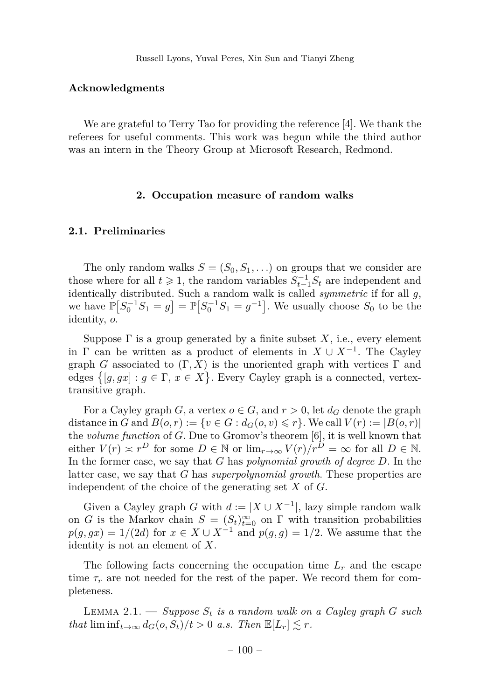#### **Acknowledgments**

We are grateful to Terry Tao for providing the reference [\[4\]](#page-13-3). We thank the referees for useful comments. This work was begun while the third author was an intern in the Theory Group at Microsoft Research, Redmond.

#### **2. Occupation measure of random walks**

#### **2.1. Preliminaries**

The only random walks  $S = (S_0, S_1, \ldots)$  on groups that we consider are those where for all  $t \geq 1$ , the random variables  $S_{t-1}^{-1}S_t$  are independent and identically distributed. Such a random walk is called *symmetric* if for all *g*, we have  $\mathbb{P}[S_0^{-1}S_1 = g] = \mathbb{P}[S_0^{-1}S_1 = g^{-1}]$ . We usually choose  $S_0$  to be the identity, *o*.

Suppose  $\Gamma$  is a group generated by a finite subset X, i.e., every element in  $\Gamma$  can be written as a product of elements in  $X \cup X^{-1}$ . The Cayley graph *G* associated to  $(\Gamma, X)$  is the unoriented graph with vertices  $\Gamma$  and edges  $\{[g, gx] : g \in \Gamma, x \in X\}$ . Every Cayley graph is a connected, vertextransitive graph.

For a Cayley graph *G*, a vertex  $o \in G$ , and  $r > 0$ , let  $d_G$  denote the graph distance in *G* and  $B(o,r) := \{v \in G : d_G(o,v) \leq r\}$ . We call  $V(r) := |B(o,r)|$ the *volume function* of *G*. Due to Gromov's theorem [\[6\]](#page-13-4), it is well known that either  $V(r) \simeq r^D$  for some  $D \in \mathbb{N}$  or  $\lim_{r \to \infty} V(r)/r^D = \infty$  for all  $D \in \mathbb{N}$ . In the former case, we say that *G* has *polynomial growth of degree D*. In the latter case, we say that *G* has *superpolynomial growth*. These properties are independent of the choice of the generating set *X* of *G*.

Given a Cayley graph *G* with  $d := |X \cup X^{-1}|$ , lazy simple random walk on *G* is the Markov chain  $S = (S_t)_{t=0}^{\infty}$  on  $\Gamma$  with transition probabilities  $p(g, gx) = 1/(2d)$  for  $x \in X \cup X^{-1}$  and  $p(g, g) = 1/2$ . We assume that the identity is not an element of *X*.

The following facts concerning the occupation time  $L_r$  and the escape time  $\tau_r$  are not needed for the rest of the paper. We record them for completeness.

<span id="page-4-0"></span>LEMMA 2.1.  $\longrightarrow$  *Suppose*  $S_t$  *is a random walk on a Cayley graph*  $G$  *such that*  $\liminf_{t\to\infty} d_G(o, S_t)/t > 0$  *a.s.* Then  $\mathbb{E}[L_r] \lesssim r$ .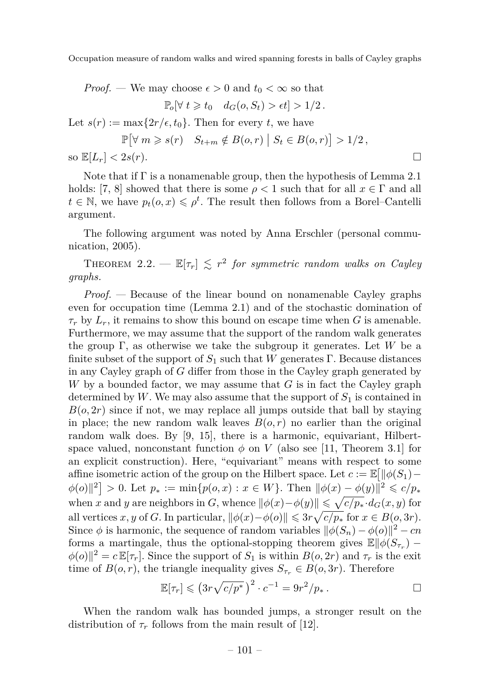*Proof.* — We may choose 
$$
\epsilon > 0
$$
 and  $t_0 < \infty$  so that  $\mathbb{P}_o[\forall t \geq t_0 \, d_G(o, S_t) > \epsilon t] > 1/2.$  Let  $s(r) := \max\{2r/\epsilon, t_0\}$ . Then for every  $t$ , we have  $\mathbb{P}[\forall m \geqslant s(r) \, S_{t+m} \notin B(o, r) \, | \, S_t \in B(o, r)] > 1/2,$  so  $\mathbb{E}[L_r] < 2s(r).$ 

Note that if  $\Gamma$  is a nonamenable group, then the hypothesis of Lemma [2.1](#page-4-0) holds: [\[7,](#page-13-5) [8\]](#page-13-6) showed that there is some  $\rho < 1$  such that for all  $x \in \Gamma$  and all  $t \in \mathbb{N}$ , we have  $p_t(o, x) \leqslant \rho^t$ . The result then follows from a Borel–Cantelli argument.

The following argument was noted by Anna Erschler (personal communication, 2005).

<span id="page-5-0"></span>THEOREM 2.2. —  $\mathbb{E}[\tau_r] \lesssim r^2$  for symmetric random walks on Cayley *graphs.*

*Proof. —* Because of the linear bound on nonamenable Cayley graphs even for occupation time (Lemma [2.1\)](#page-4-0) and of the stochastic domination of  $\tau_r$  by  $L_r$ , it remains to show this bound on escape time when *G* is amenable. Furthermore, we may assume that the support of the random walk generates the group Γ, as otherwise we take the subgroup it generates. Let *W* be a finite subset of the support of  $S_1$  such that *W* generates  $\Gamma$ . Because distances in any Cayley graph of *G* differ from those in the Cayley graph generated by *W* by a bounded factor, we may assume that *G* is in fact the Cayley graph determined by  $W$ . We may also assume that the support of  $S_1$  is contained in  $B(o, 2r)$  since if not, we may replace all jumps outside that ball by staying in place; the new random walk leaves  $B(o, r)$  no earlier than the original random walk does. By [\[9,](#page-13-7) [15\]](#page-13-8), there is a harmonic, equivariant, Hilbertspace valued, nonconstant function  $\phi$  on *V* (also see [\[11,](#page-13-9) Theorem 3.1] for an explicit construction). Here, "equivariant" means with respect to some affine isometric action of the group on the Hilbert space. Let  $c := \mathbb{E} \left[ \|\phi(S_1) - \phi(S_2)\| \right]$  $\phi(o)\|^{2}$  > 0. Let  $p_{*} := \min\{p(o, x) : x \in W\}$ . Then  $\|\phi(x) - \phi(y)\|^{2} \leq c/p_{*}$ when *x* and *y* are neighbors in *G*, whence  $\|\phi(x)-\phi(y)\| \leq \sqrt{c/p_*} \cdot d_G(x,y)$  for all vertices *x*, *y* of *G*. In particular,  $\|\phi(x) - \phi(o)\| \leq 3r\sqrt{c/p_*}$  for  $x \in B(o, 3r)$ . Since  $\phi$  is harmonic, the sequence of random variables  $\|\phi(S_n) - \phi(o)\|^2 - cn$ forms a martingale, thus the optional-stopping theorem gives  $\mathbb{E} \|\phi(S_{\tau_r}) \phi(o)$ <sup>2</sup> = *c***E**[*τ*<sub>*r*</sub>]. Since the support of *S*<sub>1</sub> is within *B*(*o*, 2*r*) and *τ*<sub>*r*</sub> is the exit time of  $B(o, r)$ , the triangle inequality gives  $S_{\tau_r} \in B(o, 3r)$ . Therefore

$$
\mathbb{E}[\tau_r] \leq (3r\sqrt{c/p^*})^2 \cdot c^{-1} = 9r^2/p_* \,.
$$

When the random walk has bounded jumps, a stronger result on the distribution of  $\tau_r$  follows from the main result of [\[12\]](#page-13-10).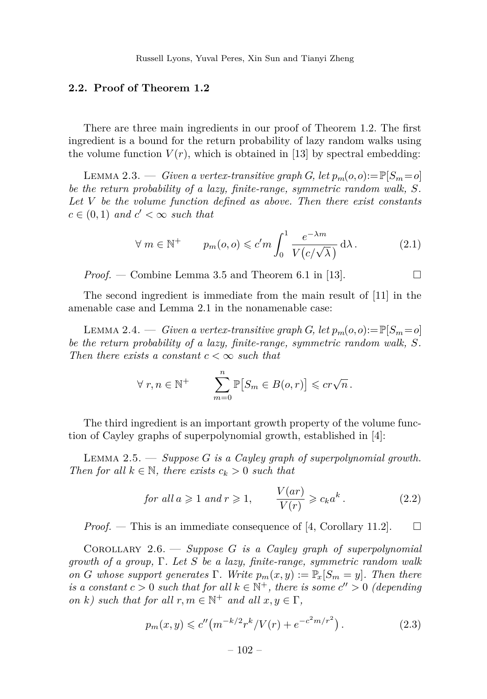Russell Lyons, Yuval Peres, Xin Sun and Tianyi Zheng

#### **2.2. Proof of Theorem [1.2](#page-2-1)**

There are three main ingredients in our proof of Theorem [1.2.](#page-2-1) The first ingredient is a bound for the return probability of lazy random walks using the volume function  $V(r)$ , which is obtained in [\[13\]](#page-13-11) by spectral embedding:

<span id="page-6-4"></span>LEMMA 2.3. — *Given a vertex-transitive graph G*, let  $p_m(o, o) := \mathbb{P}[S_m = o]$ *be the return probability of a lazy, finite-range, symmetric random walk, S. Let V be the volume function defined as above. Then there exist constants*  $c \in (0,1)$  *and*  $c' < \infty$  *such that* 

<span id="page-6-0"></span>
$$
\forall m \in \mathbb{N}^+ \qquad p_m(o, o) \leqslant c'm \int_0^1 \frac{e^{-\lambda m}}{V(c/\sqrt{\lambda})} d\lambda. \tag{2.1}
$$

*Proof.* — Combine Lemma 3.5 and Theorem 6.1 in [\[13\]](#page-13-11).  $\Box$ 

The second ingredient is immediate from the main result of [\[11\]](#page-13-9) in the amenable case and Lemma [2.1](#page-4-0) in the nonamenable case:

<span id="page-6-2"></span>LEMMA 2.4. — *Given a vertex-transitive graph G*, let  $p_m(o, o) := \mathbb{P}[S_m = o]$ *be the return probability of a lazy, finite-range, symmetric random walk, S. Then there exists a constant*  $c < \infty$  *such that* 

$$
\forall r, n \in \mathbb{N}^+ \qquad \sum_{m=0}^n \mathbb{P}[S_m \in B(o, r)] \leqslant cr\sqrt{n}.
$$

The third ingredient is an important growth property of the volume function of Cayley graphs of superpolynomial growth, established in [\[4\]](#page-13-3):

Lemma 2.5. — *Suppose G is a Cayley graph of superpolynomial growth. Then for all*  $k \in \mathbb{N}$ *, there exists*  $c_k > 0$  *such that* 

for all 
$$
a \ge 1
$$
 and  $r \ge 1$ ,  $\frac{V(ar)}{V(r)} \ge c_k a^k$ . (2.2)

*Proof.* — This is an immediate consequence of [\[4,](#page-13-3) Corollary 11.2].  $\Box$ 

<span id="page-6-3"></span>Corollary 2.6. — *Suppose G is a Cayley graph of superpolynomial growth of a group,* Γ*. Let S be a lazy, finite-range, symmetric random walk on G* whose support generates  $\Gamma$ *. Write*  $p_m(x, y) := \mathbb{P}_x[S_m = y]$ *. Then there is a constant*  $c > 0$  *such that for all*  $k \in \mathbb{N}^+$ , *there is some*  $c'' > 0$  *(depending on k*) such that for all  $r, m \in \mathbb{N}^+$  and all  $x, y \in \Gamma$ ,

<span id="page-6-1"></span>
$$
p_m(x, y) \leq c'' \left( m^{-k/2} r^k / V(r) + e^{-c^2 m/r^2} \right). \tag{2.3}
$$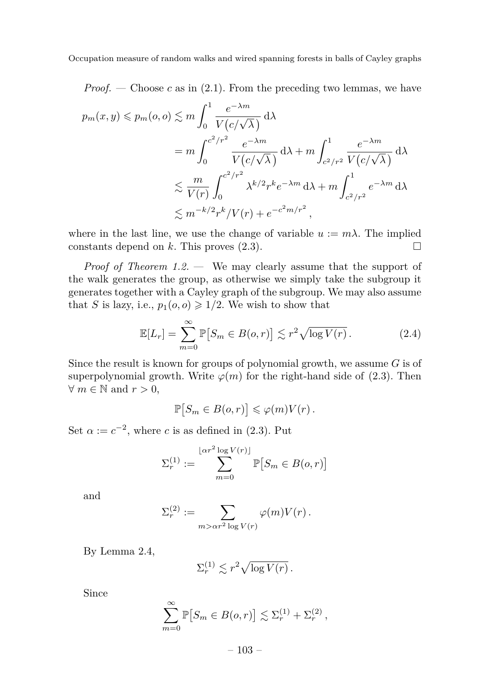*Proof.* — Choose  $c$  as in [\(2.1\)](#page-6-0). From the preceding two lemmas, we have

$$
p_m(x, y) \leq p_m(o, o) \leq m \int_0^1 \frac{e^{-\lambda m}}{V(c/\sqrt{\lambda})} d\lambda
$$
  
= 
$$
m \int_0^{c^2/r^2} \frac{e^{-\lambda m}}{V(c/\sqrt{\lambda})} d\lambda + m \int_{c^2/r^2}^1 \frac{e^{-\lambda m}}{V(c/\sqrt{\lambda})} d\lambda
$$
  

$$
\leq \frac{m}{V(r)} \int_0^{c^2/r^2} \lambda^{k/2} r^k e^{-\lambda m} d\lambda + m \int_{c^2/r^2}^1 e^{-\lambda m} d\lambda
$$
  

$$
\leq m^{-k/2} r^k / V(r) + e^{-c^2 m/r^2},
$$

where in the last line, we use the change of variable  $u := m\lambda$ . The implied constants depend on  $k$ . This proves  $(2.3)$ .

*Proof of Theorem [1.2.](#page-2-1)* — We may clearly assume that the support of the walk generates the group, as otherwise we simply take the subgroup it generates together with a Cayley graph of the subgroup. We may also assume that *S* is lazy, i.e.,  $p_1(o, o) \geq 1/2$ . We wish to show that

<span id="page-7-0"></span>
$$
\mathbb{E}[L_r] = \sum_{m=0}^{\infty} \mathbb{P}[S_m \in B(o, r)] \lesssim r^2 \sqrt{\log V(r)}.
$$
 (2.4)

Since the result is known for groups of polynomial growth, we assume *G* is of superpolynomial growth. Write  $\varphi(m)$  for the right-hand side of [\(2.3\)](#page-6-1). Then  $∀ m ∈ ℕ$  and  $r > 0$ ,

$$
\mathbb{P}[S_m \in B(o, r)] \leqslant \varphi(m)V(r).
$$

Set  $\alpha := c^{-2}$ , where *c* is as defined in [\(2.3\)](#page-6-1). Put

$$
\Sigma_r^{(1)} := \sum_{m=0}^{\lfloor \alpha r^2 \log V(r) \rfloor} \mathbb{P}[S_m \in B(o, r)]
$$

and

$$
\Sigma_r^{(2)} := \sum_{m > \alpha r^2 \log V(r)} \varphi(m) V(r) .
$$

By Lemma [2.4,](#page-6-2)

$$
\Sigma_r^{(1)} \lesssim r^2 \sqrt{\log V(r)}.
$$

Since

$$
\sum_{m=0}^{\infty} \mathbb{P}[S_m \in B(o,r)] \lesssim \Sigma_r^{(1)} + \Sigma_r^{(2)},
$$

 $-103-$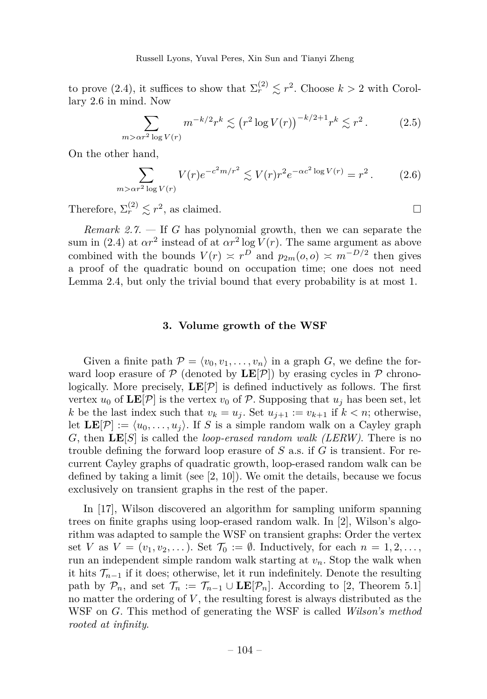Russell Lyons, Yuval Peres, Xin Sun and Tianyi Zheng

to prove [\(2.4\)](#page-7-0), it suffices to show that  $\Sigma_r^{(2)} \lesssim r^2$ . Choose  $k > 2$  with Corollary [2.6](#page-6-3) in mind. Now

$$
\sum_{m > \alpha r^2 \log V(r)} m^{-k/2} r^k \lesssim (r^2 \log V(r))^{-k/2+1} r^k \lesssim r^2.
$$
 (2.5)

On the other hand,

$$
\sum_{m > \alpha r^2 \log V(r)} V(r) e^{-c^2 m/r^2} \lesssim V(r) r^2 e^{-\alpha c^2 \log V(r)} = r^2.
$$
 (2.6)

Therefore,  $\Sigma_r^{(2)} \lesssim r^2$ , as claimed.

<span id="page-8-0"></span>*Remark 2.7. —* If *G* has polynomial growth, then we can separate the sum in [\(2.4\)](#page-7-0) at  $\alpha r^2$  instead of at  $\alpha r^2 \log V(r)$ . The same argument as above combined with the bounds  $V(r) \approx r^D$  and  $p_{2m}(o, o) \approx m^{-D/2}$  then gives a proof of the quadratic bound on occupation time; one does not need Lemma [2.4,](#page-6-2) but only the trivial bound that every probability is at most 1.

#### **3. Volume growth of the WSF**

Given a finite path  $\mathcal{P} = \langle v_0, v_1, \ldots, v_n \rangle$  in a graph *G*, we define the forward loop erasure of  $\mathcal{P}$  (denoted by  $\mathbf{LE}[\mathcal{P}]$ ) by erasing cycles in  $\mathcal{P}$  chronologically. More precisely,  $LE[\mathcal{P}]$  is defined inductively as follows. The first vertex  $u_0$  of  $\mathbf{LE}[\mathcal{P}]$  is the vertex  $v_0$  of  $\mathcal{P}$ . Supposing that  $u_j$  has been set, let *k* be the last index such that  $v_k = u_j$ . Set  $u_{j+1} := v_{k+1}$  if  $k < n$ ; otherwise, let  $\mathbf{LE}[\mathcal{P}] := \langle u_0, \ldots, u_i \rangle$ . If *S* is a simple random walk on a Cayley graph *G*, then **LE**[*S*] is called the *loop-erased random walk (LERW)*. There is no trouble defining the forward loop erasure of *S* a.s. if *G* is transient. For recurrent Cayley graphs of quadratic growth, loop-erased random walk can be defined by taking a limit (see  $[2, 10]$  $[2, 10]$  $[2, 10]$ ). We omit the details, because we focus exclusively on transient graphs in the rest of the paper.

In [\[17\]](#page-13-13), Wilson discovered an algorithm for sampling uniform spanning trees on finite graphs using loop-erased random walk. In [\[2\]](#page-12-1), Wilson's algorithm was adapted to sample the WSF on transient graphs: Order the vertex set *V* as  $V = (v_1, v_2, \dots)$ . Set  $\mathcal{T}_0 := \emptyset$ . Inductively, for each  $n = 1, 2, \dots$ , run an independent simple random walk starting at *vn*. Stop the walk when it hits  $\mathcal{T}_{n-1}$  if it does; otherwise, let it run indefinitely. Denote the resulting path by  $\mathcal{P}_n$ , and set  $\mathcal{T}_n := \mathcal{T}_{n-1} \cup \mathbf{LE}[\mathcal{P}_n]$ . According to [\[2,](#page-12-1) Theorem 5.1] no matter the ordering of *V* , the resulting forest is always distributed as the WSF on *G*. This method of generating the WSF is called *Wilson's method rooted at infinity*.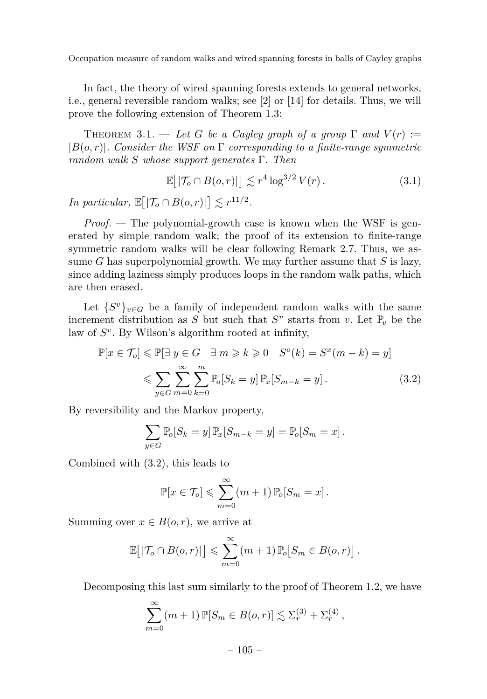In fact, the theory of wired spanning forests extends to general networks, i.e., general reversible random walks; see [\[2\]](#page-12-1) or [\[14\]](#page-13-2) for details. Thus, we will prove the following extension of Theorem [1.3:](#page-3-0)

THEOREM 3.1. — Let G be a Cayley graph of a group  $\Gamma$  and  $V(r) :=$ |*B*(*o, r*)|*. Consider the WSF on* Γ *corresponding to a finite-range symmetric random walk S whose support generates* Γ*. Then*

$$
\mathbb{E}\big[|\mathcal{T}_o \cap B(o, r)|\big] \lesssim r^4 \log^{3/2} V(r). \tag{3.1}
$$

*In particular,*  $\mathbb{E} \big[ |\mathcal{T}_o \cap B(o, r)| \big] \lesssim r^{11/2}$ *.* 

*Proof. —* The polynomial-growth case is known when the WSF is generated by simple random walk; the proof of its extension to finite-range symmetric random walks will be clear following Remark [2.7.](#page-8-0) Thus, we assume *G* has superpolynomial growth. We may further assume that *S* is lazy, since adding laziness simply produces loops in the random walk paths, which are then erased.

Let  ${S^v}_{veG}$  be a family of independent random walks with the same increment distribution as  $S$  but such that  $S^v$  starts from  $v$ . Let  $\mathbb{P}_v$  be the law of  $S^v$ . By Wilson's algorithm rooted at infinity,

$$
\mathbb{P}[x \in \mathcal{T}_o] \le \mathbb{P}[\exists y \in G \quad \exists m \ge k \ge 0 \quad S^o(k) = S^x(m-k) = y]
$$
  

$$
\le \sum_{y \in G} \sum_{m=0}^{\infty} \sum_{k=0}^m \mathbb{P}_o[S_k = y] \mathbb{P}_x[S_{m-k} = y]. \tag{3.2}
$$

By reversibility and the Markov property,

<span id="page-9-0"></span>
$$
\sum_{y \in G} \mathbb{P}_o[S_k = y] \mathbb{P}_x[S_{m-k} = y] = \mathbb{P}_o[S_m = x].
$$

Combined with [\(3.2\)](#page-9-0), this leads to

$$
\mathbb{P}[x \in \mathcal{T}_o] \leqslant \sum_{m=0}^{\infty} (m+1) \, \mathbb{P}_o[S_m = x].
$$

Summing over  $x \in B(o, r)$ , we arrive at

$$
\mathbb{E}\big[|\mathcal{T}_o \cap B(o,r)|\big] \leqslant \sum_{m=0}^{\infty} (m+1) \, \mathbb{P}_o\big[S_m \in B(o,r)\big].
$$

Decomposing this last sum similarly to the proof of Theorem [1.2,](#page-2-1) we have

$$
\sum_{m=0}^{\infty} (m+1) \mathbb{P}[S_m \in B(o,r)] \lesssim \Sigma_r^{(3)} + \Sigma_r^{(4)},
$$

 $-105-$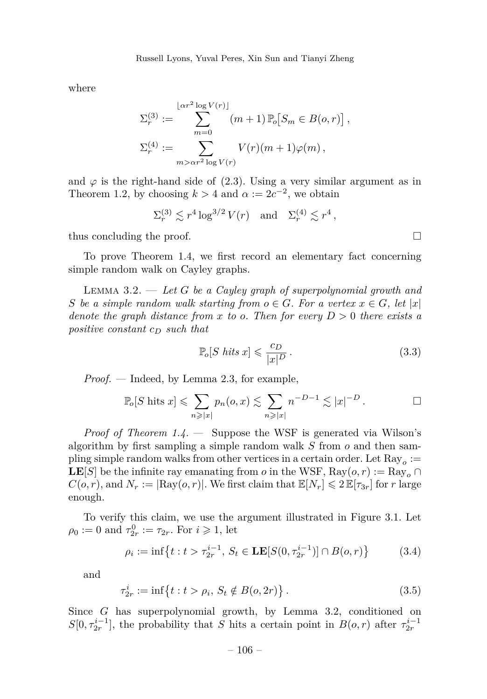where

$$
\Sigma_r^{(3)} := \sum_{m=0}^{\lfloor \alpha r^2 \log V(r) \rfloor} (m+1) \, \mathbb{P}_o \big[ S_m \in B(o, r) \big],
$$
  

$$
\Sigma_r^{(4)} := \sum_{m > \alpha r^2 \log V(r)} V(r) (m+1) \varphi(m),
$$

and  $\varphi$  is the right-hand side of [\(2.3\)](#page-6-1). Using a very similar argument as in Theorem [1.2,](#page-2-1) by choosing  $k > 4$  and  $\alpha := 2c^{-2}$ , we obtain

$$
\Sigma_r^{(3)} \lesssim r^4 \log^{3/2} V(r) \quad \text{and} \quad \Sigma_r^{(4)} \lesssim r^4 \,,
$$

thus concluding the proof.  $\Box$ 

To prove Theorem [1.4,](#page-3-1) we first record an elementary fact concerning simple random walk on Cayley graphs.

<span id="page-10-0"></span>Lemma 3.2. — *Let G be a Cayley graph of superpolynomial growth and S be a simple random walk starting from*  $o \in G$ *. For a vertex*  $x \in G$ *, let* |*x*| *denote the graph distance from*  $x$  *to*  $o$ *. Then for every*  $D > 0$  *there exists a positive constant c<sup>D</sup> such that*

$$
\mathbb{P}_o[S \; hits \; x] \leqslant \frac{c_D}{|x|^D} \,. \tag{3.3}
$$

*Proof. —* Indeed, by Lemma [2.3,](#page-6-4) for example,

$$
\mathbb{P}_o[S \text{ hits } x] \leqslant \sum_{n \geqslant |x|} p_n(o, x) \lesssim \sum_{n \geqslant |x|} n^{-D-1} \lesssim |x|^{-D} . \qquad \Box
$$

*Proof of Theorem [1.4.](#page-3-1)* — Suppose the WSF is generated via Wilson's algorithm by first sampling a simple random walk *S* from *o* and then sampling simple random walks from other vertices in a certain order. Let  ${\rm Ray}_o :=$  $\mathbf{LE}[S]$  be the infinite ray emanating from *o* in the WSF, Ray(*o,r*) := Ray<sub>*o*</sub> ∩  $C(o, r)$ , and  $N_r := |\text{Ray}(o, r)|$ . We first claim that  $\mathbb{E}[N_r] \leq 2 \mathbb{E}[\tau_{3r}]$  for *r* large enough.

To verify this claim, we use the argument illustrated in Figure [3.1.](#page-11-0) Let  $\rho_0 := 0$  and  $\tau_{2r}^0 := \tau_{2r}$ . For  $i \geq 1$ , let

<span id="page-10-1"></span>
$$
\rho_i := \inf \left\{ t : t > \tau_{2r}^{i-1}, \ S_t \in \mathbf{LE}[S(0, \tau_{2r}^{i-1})] \cap B(o, r) \right\} \tag{3.4}
$$

and

$$
\tau_{2r}^i := \inf \{ t : t > \rho_i, S_t \notin B(o, 2r) \}.
$$
\n(3.5)

Since *G* has superpolynomial growth, by Lemma [3.2,](#page-10-0) conditioned on  $S[0, \tau_{2r}^{i-1}]$ , the probability that *S* hits a certain point in  $B(o, r)$  after  $\tau_{2r}^{i-1}$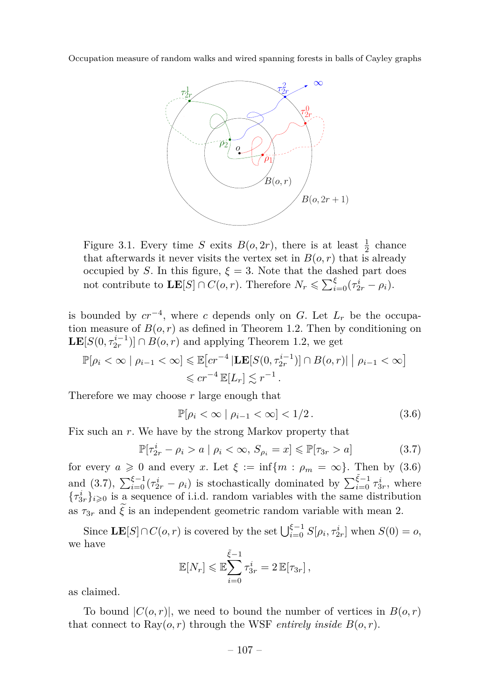

<span id="page-11-0"></span>Figure 3.1. Every time *S* exits  $B(o, 2r)$ , there is at least  $\frac{1}{2}$  chance that afterwards it never visits the vertex set in  $B(o, r)$  that is already occupied by *S*. In this figure,  $\xi = 3$ . Note that the dashed part does not contribute to  $\mathbf{LE}[S] \cap C(o, r)$ . Therefore  $N_r \leqslant \sum_{i=0}^{\xi} (\tau_{2r}^i - \rho_i)$ .

is bounded by  $cr^{-4}$ , where *c* depends only on *G*. Let  $L_r$  be the occupation measure of  $B(o, r)$  as defined in Theorem [1.2.](#page-2-1) Then by conditioning on  $\mathbf{LE}[S(0, \tau_{2r}^{i-1})] \cap B(o, r)$  and applying Theorem [1.2,](#page-2-1) we get

$$
\mathbb{P}[\rho_i < \infty \mid \rho_{i-1} < \infty] \leq \mathbb{E}[cr^{-4} \mid \mathbf{LE}[S(0, \tau_{2r}^{i-1})] \cap B(o, r) \mid \rho_{i-1} < \infty] \leq cr^{-4} \mathbb{E}[L_r] \lesssim r^{-1}.
$$

Therefore we may choose *r* large enough that

<span id="page-11-1"></span>
$$
\mathbb{P}[\rho_i < \infty \mid \rho_{i-1} < \infty] < 1/2. \tag{3.6}
$$

Fix such an *r*. We have by the strong Markov property that

<span id="page-11-2"></span>
$$
\mathbb{P}[\tau_{2r}^i - \rho_i > a \mid \rho_i < \infty, S_{\rho_i} = x] \leq \mathbb{P}[\tau_{3r} > a]
$$
\n(3.7)

for every  $a \ge 0$  and every *x*. Let  $\xi := \inf\{m : \rho_m = \infty\}$ . Then by [\(3.6\)](#page-11-1) and [\(3.7\)](#page-11-2),  $\sum_{i=0}^{\xi-1} (\tau_{2r}^i - \rho_i)$  is stochastically dominated by  $\sum_{i=0}^{\tilde{\xi}-1} \tau_{3r}^i$ , where  ${\{\tau_{3r}^{i}\}}_{i\geqslant0}$  is a sequence of i.i.d. random variables with the same distribution as  $\tau_{3r}$  and  $\tilde{\xi}$  is an independent geometric random variable with mean 2.

Since  $\mathbf{LE}[S] \cap C(o, r)$  is covered by the set  $\bigcup_{i=0}^{\xi-1} S[\rho_i, \tau_{2r}^i]$  when  $S(0) = o$ , we have

$$
\mathbb{E}[N_r] \leqslant \mathbb{E}\sum_{i=0}^{\tilde{\xi}-1} \tau_{3r}^i = 2 \mathbb{E}[\tau_{3r}],
$$

as claimed.

To bound  $|C(o,r)|$ , we need to bound the number of vertices in  $B(o,r)$ that connect to  $\text{Ray}(o, r)$  through the WSF *entirely inside*  $B(o, r)$ .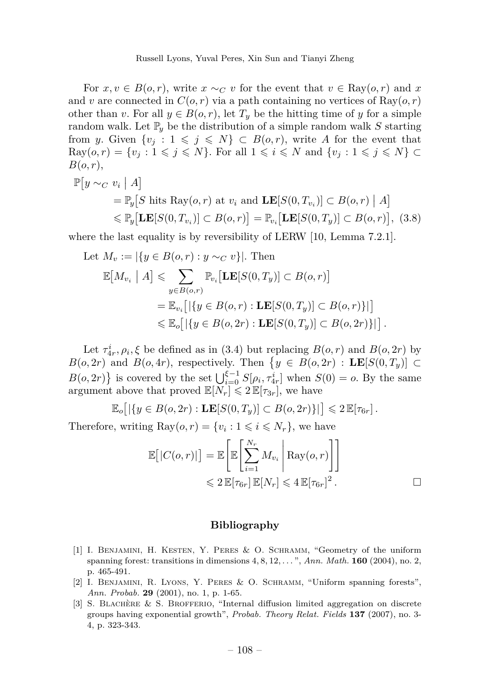For  $x, v \in B(o, r)$ , write  $x \sim_C v$  for the event that  $v \in \text{Ray}(o, r)$  and x and *v* are connected in  $C(o, r)$  via a path containing no vertices of  $\text{Ray}(o, r)$ other than *v*. For all  $y \in B(o, r)$ , let  $T_y$  be the hitting time of *y* for a simple random walk. Let  $\mathbb{P}_y$  be the distribution of a simple random walk *S* starting from *y*. Given  $\{v_j : 1 \leq j \leq N\} \subset B(o,r)$ , write *A* for the event that  $\text{Ray}(o, r) = \{v_i : 1 \leq j \leq N\}$ . For all  $1 \leq i \leq N$  and  $\{v_j : 1 \leq j \leq N\}$ *B*(*o, r*),

$$
\mathbb{P}[y \sim_C v_i \mid A] \n= \mathbb{P}_y[S \text{ hits Ray}(o, r) \text{ at } v_i \text{ and } \mathbf{LE}[S(0, T_{v_i})] \subset B(o, r) \mid A] \n\leq \mathbb{P}_y[\mathbf{LE}[S(0, T_{v_i})] \subset B(o, r)] = \mathbb{P}_{v_i}[\mathbf{LE}[S(0, T_y)] \subset B(o, r)],
$$
\n(3.8)

where the last equality is by reversibility of LERW [\[10,](#page-13-12) Lemma 7.2.1].

Let 
$$
M_v := |\{y \in B(o, r) : y \sim_C v\}|
$$
. Then  
\n
$$
\mathbb{E}[M_{v_i} \mid A] \leq \sum_{y \in B(o, r)} \mathbb{P}_{v_i}[\mathbf{LE}[S(0, T_y)] \subset B(o, r)]
$$
\n
$$
= \mathbb{E}_{v_i}[\left|\{y \in B(o, r) : \mathbf{LE}[S(0, T_y)] \subset B(o, r)\}\right|]
$$
\n
$$
\leq \mathbb{E}_o[\left|\{y \in B(o, 2r) : \mathbf{LE}[S(0, T_y)] \subset B(o, 2r)\}\right|].
$$

Let  $\tau_{4r}^i$ ,  $\rho_i$ ,  $\xi$  be defined as in [\(3.4\)](#page-10-1) but replacing  $B(o, r)$  and  $B(o, 2r)$  by *B*(*o*, 2*r*) and *B*(*o*, 4*r*), respectively. Then  $\{y \in B(o, 2r) : \mathbf{LE}[S(0, T_y)] \subset$  $B(o, 2r)$  is covered by the set  $\bigcup_{i=0}^{\xi-1} S[\rho_i, \tau_{4r}^i]$  when  $S(0) = o$ . By the same argument above that proved  $\mathbb{E}[N_r] \leq 2 \mathbb{E}[\tau_{3r}]$ , we have

$$
\mathbb{E}_o\big[\left|\{y\in B(o, 2r): \mathbf{LE}[S(0,T_y)]\subset B(o, 2r)\}\right|\big]\leqslant 2\,\mathbb{E}[\tau_{6r}].
$$

Therefore, writing  $\text{Ray}(o, r) = \{v_i : 1 \leq i \leq N_r\}$ , we have

$$
\mathbb{E}[|C(o,r)|] = \mathbb{E}\left[\mathbb{E}\left[\sum_{i=1}^{N_r} M_{v_i} \middle| \text{Ray}(o,r)\right]\right]
$$
  

$$
\leq 2 \mathbb{E}[\tau_{6r}] \mathbb{E}[N_r] \leq 4 \mathbb{E}[\tau_{6r}]^2.
$$

#### **Bibliography**

- <span id="page-12-2"></span>[1] I. Benjamini, H. Kesten, Y. Peres & O. Schramm, "Geometry of the uniform spanning forest: transitions in dimensions 4*,* 8*,* 12*, . . .* ", *Ann. Math.* **160** (2004), no. 2, p. 465-491.
- <span id="page-12-1"></span>[2] I. Benjamini, R. Lyons, Y. Peres & O. Schramm, "Uniform spanning forests", *Ann. Probab.* **29** (2001), no. 1, p. 1-65.
- <span id="page-12-0"></span>[3] S. Blachère & S. Brofferio, "Internal diffusion limited aggregation on discrete groups having exponential growth", *Probab. Theory Relat. Fields* **137** (2007), no. 3- 4, p. 323-343.